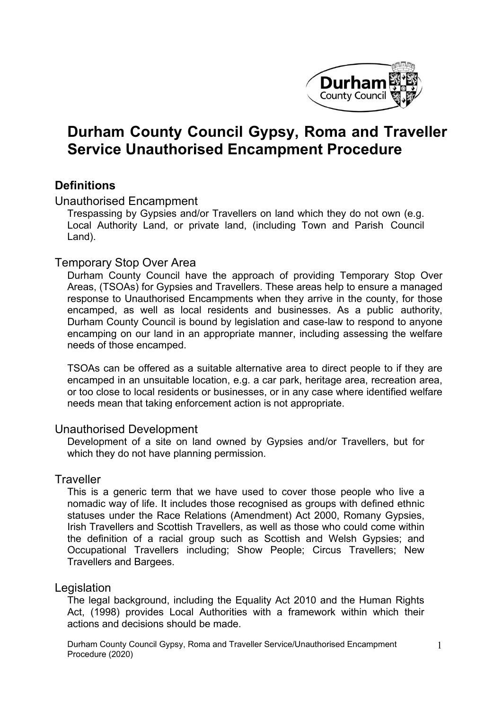

# **Durham County Council Gypsy, Roma and Traveller Service Unauthorised Encampment Procedure**

### **Definitions**

Unauthorised Encampment

Trespassing by Gypsies and/or Travellers on land which they do not own (e.g. Local Authority Land, or private land, (including Town and Parish Council Land).

### Temporary Stop Over Area

Durham County Council have the approach of providing Temporary Stop Over Areas, (TSOAs) for Gypsies and Travellers. These areas help to ensure a managed response to Unauthorised Encampments when they arrive in the county, for those encamped, as well as local residents and businesses. As a public authority, Durham County Council is bound by legislation and case-law to respond to anyone encamping on our land in an appropriate manner, including assessing the welfare needs of those encamped.

TSOAs can be offered as a suitable alternative area to direct people to if they are encamped in an unsuitable location, e.g. a car park, heritage area, recreation area, or too close to local residents or businesses, or in any case where identified welfare needs mean that taking enforcement action is not appropriate.

#### Unauthorised Development

Development of a site on land owned by Gypsies and/or Travellers, but for which they do not have planning permission.

### **Traveller**

This is a generic term that we have used to cover those people who live a nomadic way of life. It includes those recognised as groups with defined ethnic statuses under the Race Relations (Amendment) Act 2000, Romany Gypsies, Irish Travellers and Scottish Travellers, as well as those who could come within the definition of a racial group such as Scottish and Welsh Gypsies; and Occupational Travellers including; Show People; Circus Travellers; New Travellers and Bargees.

### Legislation

The legal background, including the Equality Act 2010 and the Human Rights Act, (1998) provides Local Authorities with a framework within which their actions and decisions should be made.

Durham County Council Gypsy, Roma and Traveller Service/Unauthorised Encampment Procedure (2020)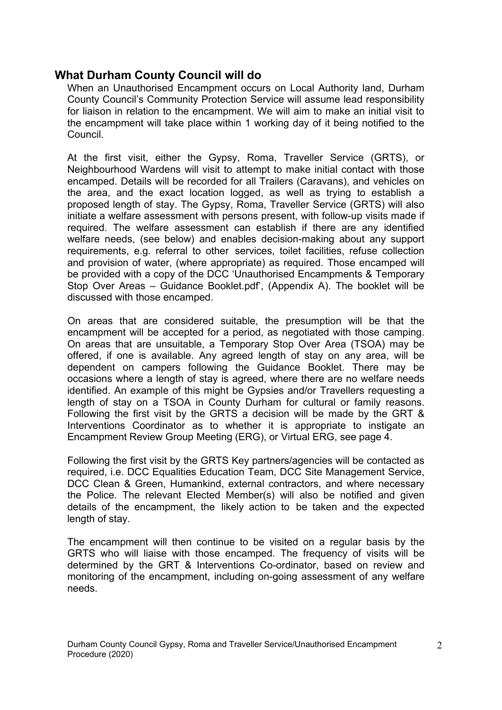### **What Durham County Council will do**

When an Unauthorised Encampment occurs on Local Authority land, Durham County Council's Community Protection Service will assume lead responsibility for liaison in relation to the encampment. We will aim to make an initial visit to the encampment will take place within 1 working day of it being notified to the Council.

At the first visit, either the Gypsy, Roma, Traveller Service (GRTS), or Neighbourhood Wardens will visit to attempt to make initial contact with those encamped. Details will be recorded for all Trailers (Caravans), and vehicles on the area, and the exact location logged, as well as trying to establish a proposed length of stay. The Gypsy, Roma, Traveller Service (GRTS) will also initiate a welfare assessment with persons present, with follow-up visits made if required. The welfare assessment can establish if there are any identified welfare needs, (see below) and enables decision-making about any support requirements, e.g. referral to other services, toilet facilities, refuse collection and provision of water, (where appropriate) as required. Those encamped will be provided with a copy of the [DCC 'Unauthorised Encampments & Temporary](https://www.durham.gov.uk/media/25278/Unauthorised-encampment-and-Temporary-Stopover-Area-guidance-booklet/pdf/GypsyRomaTravellerGuidanceUnauthorisedEncampmentsTemporaryStopOverAreas.pdf) Stop Over Areas – Guidance [Booklet.pdf',](https://www.durham.gov.uk/media/25278/Unauthorised-encampment-and-Temporary-Stopover-Area-guidance-booklet/pdf/GypsyRomaTravellerGuidanceUnauthorisedEncampmentsTemporaryStopOverAreas.pdf?m=636668168766370000) (Appendix A). The booklet will be discussed with those encamped.

On areas that are considered suitable, the presumption will be that the encampment will be accepted for a period, as negotiated with those camping. On areas that are unsuitable, a Temporary Stop Over Area (TSOA) may be offered, if one is available. Any agreed length of stay on any area, will be dependent on campers following the Guidance Booklet. There may be occasions where a length of stay is agreed, where there are no welfare needs identified. An example of this might be Gypsies and/or Travellers requesting a length of stay on a TSOA in County Durham for cultural or family reasons. Following the first visit by the GRTS a decision will be made by the GRT & Interventions Coordinator as to whether it is appropriate to instigate an Encampment Review Group Meeting (ERG), or Virtual ERG, see page 4.

Following the first visit by the GRTS Key partners/agencies will be contacted as required, i.e. DCC Equalities Education Team, DCC Site Management Service, DCC Clean & Green, Humankind, external contractors, and where necessary the Police. The relevant Elected Member(s) will also be notified and given details of the encampment, the likely action to be taken and the expected length of stay.

The encampment will then continue to be visited on a regular basis by the GRTS who will liaise with those encamped. The frequency of visits will be determined by the GRT & Interventions Co-ordinator, based on review and monitoring of the encampment, including on-going assessment of any welfare needs.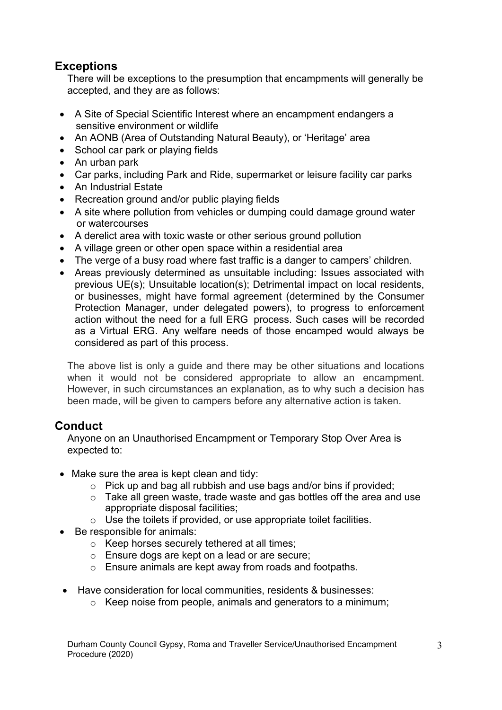# **Exceptions**

There will be exceptions to the presumption that encampments will generally be accepted, and they are as follows:

- A Site of Special Scientific Interest where an encampment endangers a sensitive environment or wildlife
- An AONB (Area of Outstanding Natural Beauty), or 'Heritage' area
- School car park or playing fields
- An urban park
- Car parks, including Park and Ride, supermarket or leisure facility car parks
- An Industrial Estate
- Recreation ground and/or public playing fields
- A site where pollution from vehicles or dumping could damage ground water or watercourses
- A derelict area with toxic waste or other serious ground pollution
- A village green or other open space within a residential area
- The verge of a busy road where fast traffic is a danger to campers' children.
- Areas previously determined as unsuitable including: Issues associated with previous UE(s); Unsuitable location(s); Detrimental impact on local residents, or businesses, might have formal agreement (determined by the Consumer Protection Manager, under delegated powers), to progress to enforcement action without the need for a full ERG process. Such cases will be recorded as a Virtual ERG. Any welfare needs of those encamped would always be considered as part of this process.

The above list is only a guide and there may be other situations and locations when it would not be considered appropriate to allow an encampment. However, in such circumstances an explanation, as to why such a decision has been made, will be given to campers before any alternative action is taken.

# **Conduct**

Anyone on an Unauthorised Encampment or Temporary Stop Over Area is expected to:

- Make sure the area is kept clean and tidy:
	- o Pick up and bag all rubbish and use bags and/or bins if provided;
	- $\circ$  Take all green waste, trade waste and gas bottles off the area and use appropriate disposal facilities;
	- $\circ$  Use the toilets if provided, or use appropriate toilet facilities.
- Be responsible for animals:
	- o Keep horses securely tethered at all times;
	- o Ensure dogs are kept on a lead or are secure;
	- o Ensure animals are kept away from roads and footpaths.
- Have consideration for local communities, residents & businesses:
	- $\circ$  Keep noise from people, animals and generators to a minimum;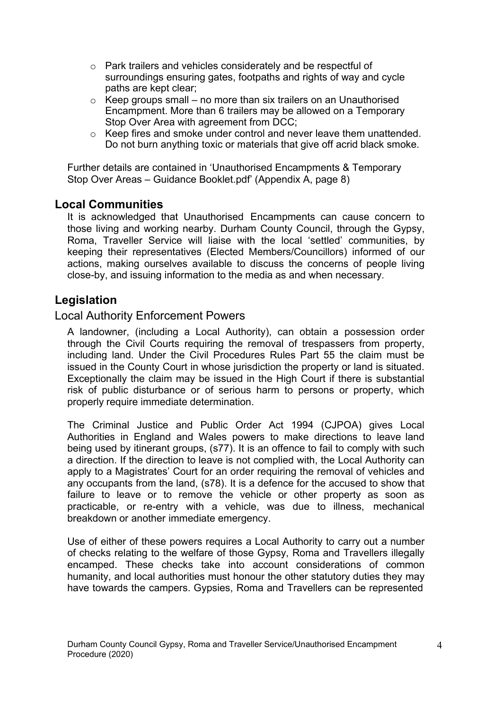- o Park trailers and vehicles considerately and be respectful of surroundings ensuring gates, footpaths and rights of way and cycle paths are kept clear;
- $\circ$  Keep groups small no more than six trailers on an Unauthorised Encampment. More than 6 trailers may be allowed on a Temporary Stop Over Area with agreement from DCC;
- o Keep fires and smoke under control and never leave them unattended. Do not burn anything toxic or materials that give off acrid black smoke.

[Further details are contained in 'Unauthorised Encampments & Temporary](https://www.durham.gov.uk/media/25278/Unauthorised-encampment-and-Temporary-Stopover-Area-guidance-booklet/pdf/GypsyRomaTravellerGuidanceUnauthorisedEncampmentsTemporaryStopOverAreas.pdf) Stop Over Areas – [Guidance Booklet.pdf'](https://www.durham.gov.uk/media/25278/Unauthorised-encampment-and-Temporary-Stopover-Area-guidance-booklet/pdf/GypsyRomaTravellerGuidanceUnauthorisedEncampmentsTemporaryStopOverAreas.pdf) (Appendix A, page 8)

### **Local Communities**

It is acknowledged that Unauthorised Encampments can cause concern to those living and working nearby. Durham County Council, through the Gypsy, Roma, Traveller Service will liaise with the local 'settled' communities, by keeping their representatives (Elected Members/Councillors) informed of our actions, making ourselves available to discuss the concerns of people living close-by, and issuing information to the media as and when necessary.

## **Legislation**

Local Authority Enforcement Powers

A landowner, (including a Local Authority), can obtain a possession order through the Civil Courts requiring the removal of trespassers from property, including land. Under the Civil Procedures Rules Part 55 the claim must be issued in the County Court in whose jurisdiction the property or land is situated. Exceptionally the claim may be issued in the High Court if there is substantial risk of public disturbance or of serious harm to persons or property, which properly require immediate determination.

The Criminal Justice and Public Order Act 1994 (CJPOA) gives Local Authorities in England and Wales powers to make directions to leave land being used by itinerant groups, (s77). It is an offence to fail to comply with such a direction. If the direction to leave is not complied with, the Local Authority can apply to a Magistrates' Court for an order requiring the removal of vehicles and any occupants from the land, (s78). It is a defence for the accused to show that failure to leave or to remove the vehicle or other property as soon as practicable, or re-entry with a vehicle, was due to illness, mechanical breakdown or another immediate emergency.

Use of either of these powers requires a Local Authority to carry out a number of checks relating to the welfare of those Gypsy, Roma and Travellers illegally encamped. These checks take into account considerations of common humanity, and local authorities must honour the other statutory duties they may have towards the campers. Gypsies, Roma and Travellers can be represented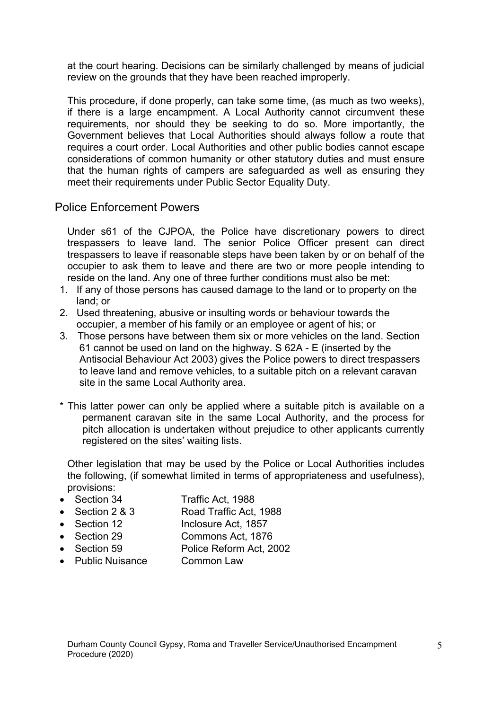at the court hearing. Decisions can be similarly challenged by means of judicial review on the grounds that they have been reached improperly.

This procedure, if done properly, can take some time, (as much as two weeks), if there is a large encampment. A Local Authority cannot circumvent these requirements, nor should they be seeking to do so. More importantly, the Government believes that Local Authorities should always follow a route that requires a court order. Local Authorities and other public bodies cannot escape considerations of common humanity or other statutory duties and must ensure that the human rights of campers are safeguarded as well as ensuring they meet their requirements under Public Sector Equality Duty.

Police Enforcement Powers

Under s61 of the CJPOA, the Police have discretionary powers to direct trespassers to leave land. The senior Police Officer present can direct trespassers to leave if reasonable steps have been taken by or on behalf of the occupier to ask them to leave and there are two or more people intending to reside on the land. Any one of three further conditions must also be met:

- 1. If any of those persons has caused damage to the land or to property on the land; or
- 2. Used threatening, abusive or insulting words or behaviour towards the occupier, a member of his family or an employee or agent of his; or
- 3. Those persons have between them six or more vehicles on the land. Section 61 cannot be used on land on the highway. S 62A - E (inserted by the Antisocial Behaviour Act 2003) gives the Police powers to direct trespassers to leave land and remove vehicles, to a suitable pitch on a relevant caravan site in the same Local Authority area.
- \* This latter power can only be applied where a suitable pitch is available on a permanent caravan site in the same Local Authority, and the process for pitch allocation is undertaken without prejudice to other applicants currently registered on the sites' waiting lists.

Other legislation that may be used by the Police or Local Authorities includes the following, (if somewhat limited in terms of appropriateness and usefulness), provisions:

- Section 34 Traffic Act, 1988
- Section 2 & 3 Road Traffic Act, 1988
- Section 12 Inclosure Act, 1857
- Section 29 Commons Act, 1876
- Section 59 Police Reform Act, 2002
- Public Nuisance Common Law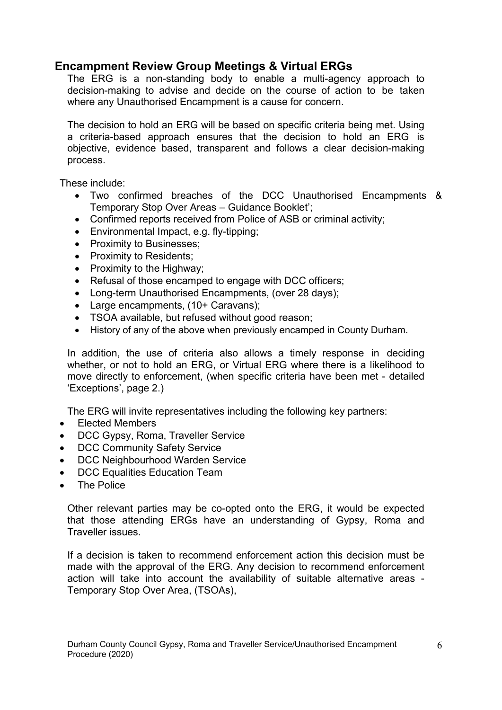## **Encampment Review Group Meetings & Virtual ERGs**

The ERG is a non-standing body to enable a multi-agency approach to decision-making to advise and decide on the course of action to be taken where any Unauthorised Encampment is a cause for concern.

The decision to hold an ERG will be based on specific criteria being met. Using a criteria-based approach ensures that the decision to hold an ERG is objective, evidence based, transparent and follows a clear decision-making process.

These include:

- Two confirmed breaches of the DCC Unauthorised Encampments & Temporary Stop Over Areas – Guidance Booklet';
- Confirmed reports received from Police of ASB or criminal activity;
- Environmental Impact, e.g. fly-tipping;
- Proximity to Businesses;
- Proximity to Residents;
- Proximity to the Highway;
- Refusal of those encamped to engage with DCC officers;
- Long-term Unauthorised Encampments, (over 28 days):
- Large encampments, (10+ Caravans);
- TSOA available, but refused without good reason;
- History of any of the above when previously encamped in County Durham.

In addition, the use of criteria also allows a timely response in deciding whether, or not to hold an ERG, or Virtual ERG where there is a likelihood to move directly to enforcement, (when specific criteria have been met - detailed 'Exceptions', page 2.)

The ERG will invite representatives including the following key partners:

- Elected Members
- DCC Gypsy, Roma, Traveller Service
- DCC Community Safety Service
- DCC Neighbourhood Warden Service
- DCC Equalities Education Team
- The Police

Other relevant parties may be co-opted onto the ERG, it would be expected that those attending ERGs have an understanding of Gypsy, Roma and Traveller issues.

If a decision is taken to recommend enforcement action this decision must be made with the approval of the ERG. Any decision to recommend enforcement action will take into account the availability of suitable alternative areas - Temporary Stop Over Area, (TSOAs),